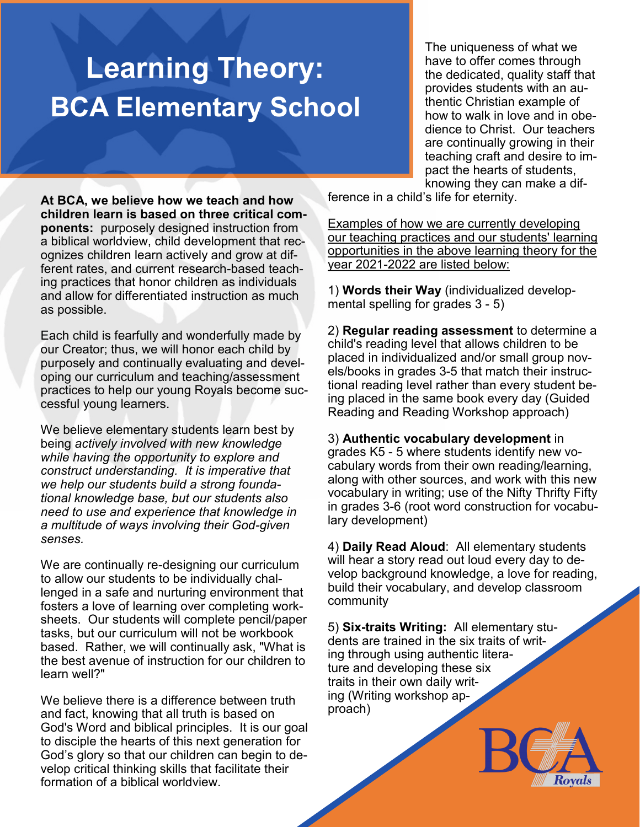## **Learning Theory: BCA Elementary School**

The uniqueness of what we have to offer comes through the dedicated, quality staff that provides students with an authentic Christian example of how to walk in love and in obedience to Christ. Our teachers are continually growing in their teaching craft and desire to impact the hearts of students, knowing they can make a dif-

**At BCA, we believe how we teach and how children learn is based on three critical components:** purposely designed instruction from a biblical worldview, child development that recognizes children learn actively and grow at different rates, and current research-based teaching practices that honor children as individuals and allow for differentiated instruction as much as possible.

Each child is fearfully and wonderfully made by our Creator; thus, we will honor each child by purposely and continually evaluating and developing our curriculum and teaching/assessment practices to help our young Royals become successful young learners.

We believe elementary students learn best by being *actively involved with new knowledge while having the opportunity to explore and construct understanding. It is imperative that we help our students build a strong foundational knowledge base, but our students also need to use and experience that knowledge in a multitude of ways involving their God-given senses.*

We are continually re-designing our curriculum to allow our students to be individually challenged in a safe and nurturing environment that fosters a love of learning over completing worksheets. Our students will complete pencil/paper tasks, but our curriculum will not be workbook based. Rather, we will continually ask, "What is the best avenue of instruction for our children to learn well?"

We believe there is a difference between truth and fact, knowing that all truth is based on God's Word and biblical principles. It is our goal to disciple the hearts of this next generation for God's glory so that our children can begin to develop critical thinking skills that facilitate their formation of a biblical worldview.

ference in a child's life for eternity.

Examples of how we are currently developing our teaching practices and our students' learning opportunities in the above learning theory for the year 2021-2022 are listed below:

1) **Words their Way** (individualized developmental spelling for grades 3 - 5)

2) **Regular reading assessment** to determine a child's reading level that allows children to be placed in individualized and/or small group novels/books in grades 3-5 that match their instructional reading level rather than every student being placed in the same book every day (Guided Reading and Reading Workshop approach)

3) **Authentic vocabulary development** in grades K5 - 5 where students identify new vocabulary words from their own reading/learning, along with other sources, and work with this new vocabulary in writing; use of the Nifty Thrifty Fifty in grades 3-6 (root word construction for vocabulary development)

4) **Daily Read Aloud**: All elementary students will hear a story read out loud every day to develop background knowledge, a love for reading, build their vocabulary, and develop classroom community

5) **Six-traits Writing:** All elementary students are trained in the six traits of writing through using authentic literature and developing these six traits in their own daily writing (Writing workshop approach)